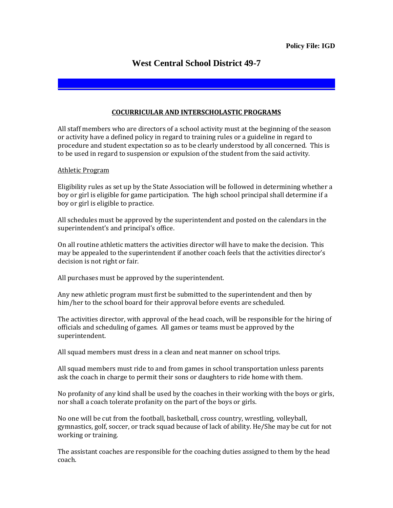## **West Central School District 49-7**

## **COCURRICULAR AND INTERSCHOLASTIC PROGRAMS**

All staff members who are directors of a school activity must at the beginning of the season or activity have a defined policy in regard to training rules or a guideline in regard to procedure and student expectation so as to be clearly understood by all concerned. This is to be used in regard to suspension or expulsion of the student from the said activity.

## Athletic Program

Eligibility rules as set up by the State Association will be followed in determining whether a boy or girl is eligible for game participation. The high school principal shall determine if a boy or girl is eligible to practice.

All schedules must be approved by the superintendent and posted on the calendars in the superintendent's and principal's office.

On all routine athletic matters the activities director will have to make the decision. This may be appealed to the superintendent if another coach feels that the activities director's decision is not right or fair.

All purchases must be approved by the superintendent.

Any new athletic program must first be submitted to the superintendent and then by him/her to the school board for their approval before events are scheduled.

The activities director, with approval of the head coach, will be responsible for the hiring of officials and scheduling of games. All games or teams must be approved by the superintendent.

All squad members must dress in a clean and neat manner on school trips.

All squad members must ride to and from games in school transportation unless parents ask the coach in charge to permit their sons or daughters to ride home with them.

No profanity of any kind shall be used by the coaches in their working with the boys or girls, nor shall a coach tolerate profanity on the part of the boys or girls.

No one will be cut from the football, basketball, cross country, wrestling, volleyball, gymnastics, golf, soccer, or track squad because of lack of ability. He/She may be cut for not working or training.

The assistant coaches are responsible for the coaching duties assigned to them by the head coach.